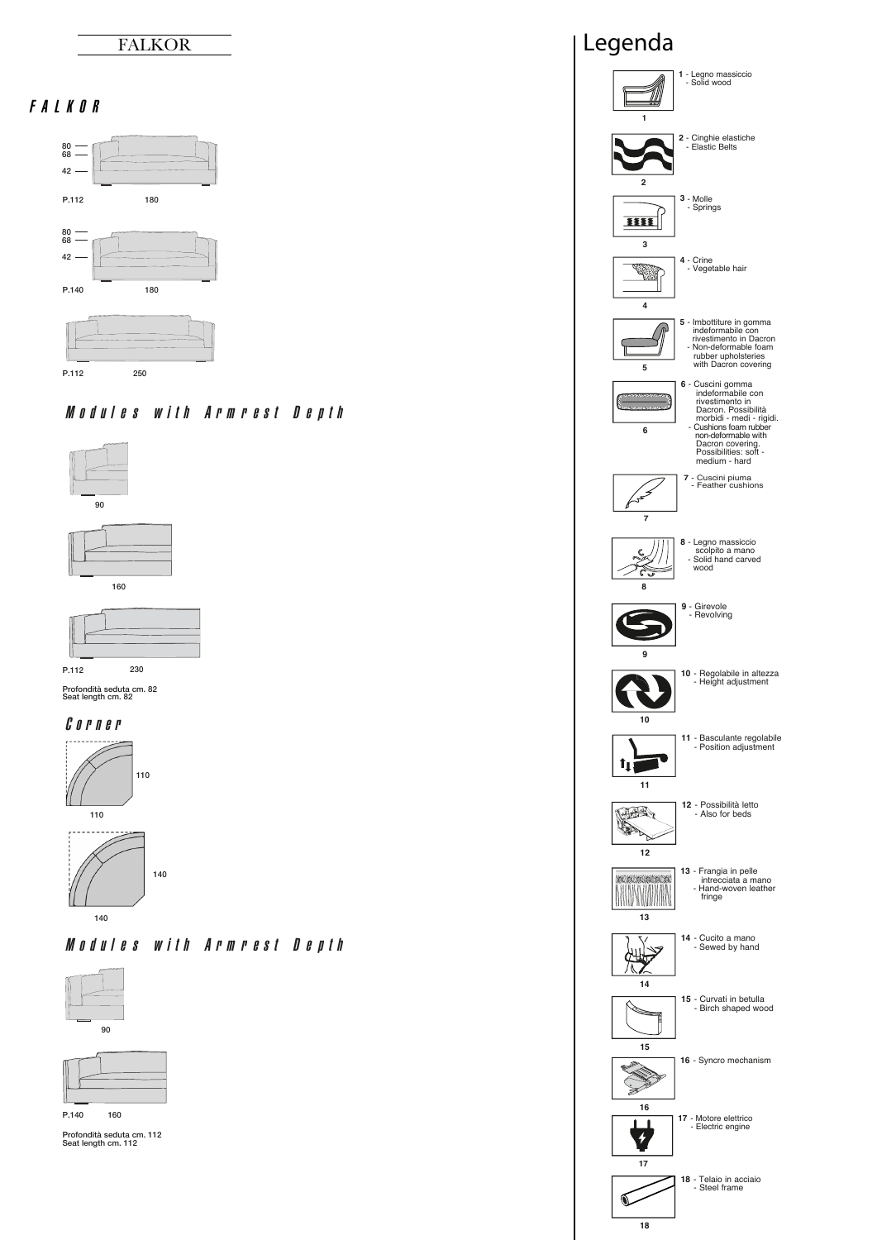

### FALKOR



#### Modules with Armrest Denth







P.112

Profondità seduta cm. 82 Seat length cm. 82

#### C o r n e r





#### Modules with Armrest Depth





Profondità seduta cm. 112 Seat length cm. 112

## - Legno massiccio - Solid wood - Cinghie elastiche - Elastic Belts - Springs - Molle $\overline{III}$  - Crine - Vegetable hair **The Second F** - Imbottiture in gomma<br>
indeformabile con<br>
- Non-deformable foam<br>
- Non-deformable foam<br>
- The pholsteries<br>
with Dacron covering<br> **5** ⋒ - Cuscini gomma indeformabile con rivestimento in Dacron. Possibilità morbidi - medi - rigidi.<br>Cushions foam rubber non-deformable with Dacron covering. Possibilities: soft - medium - hard - Cuscini piuma - Feather cushions  $\sqrt{s}$  - Legno massiccio scolpito <sup>a</sup> mano - Solid hand carved wood É. - Girevole - Revolving - Regolabile in altezza - Height adjustment - Basculante regolabile - Position adjustment Ð  $\mathbf{u}$  R - Possibilità letto - Also for beds **13** - Frangia in pelle<br>
intrecciata a mano<br>
- Hand-woven leather<br>
fringe .<br>ave MUNICIPAL - Cucito <sup>a</sup> mano - Sewed by hand **Ally**  - Curvati in betulla - Birch shaped wood